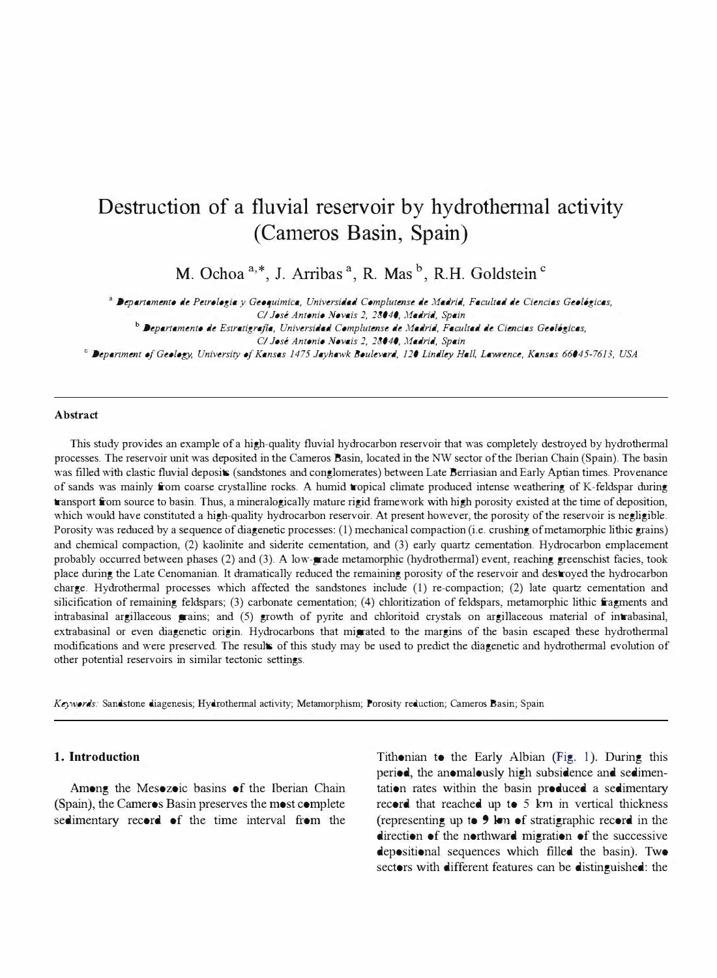# Destruction of a fluvial reservoir by hydrothennal activity (Cameros Basin, Spain)

M. Ochoa<sup>a,\*</sup>, J. Arribas<sup>a</sup>, R. Mas<sup>b</sup>, R.H. Goldstein<sup>c</sup>

<sup>a</sup>Departamento de Petrologia y Geoquimica, Universidad Complutense de Madrid, Facultad de Ciencias Geol6gicas,

C/ Jose Antonio Novais 2, 28040, Madrid, Spain

b Departamento de Estratigrajia, Universidad Complutense de Madrid, Facultad de Ciencias Geol6gicas, C/ Jose Antonio Novais 2, 28040, Madrid, Spain

<sup>C</sup>Department a/Geology, University of Kansas 1475 Jayhawk Boulevard, 120 Lindley Hall, Lawrence, Kansas 66045-7613, USA

#### **Abstract**

This study provides an example of a high-quality fluvial hydrocarbon reservoir that was completely destroyed by hydrothermal processes. The reservoir unit was deposited in the Cameros Basin, located in the NW sector of the Iberian Chain (Spain). The basin was fi11ed with clastic fluvial deposits (sandstones and conglomerates) between Late Berriasian and Early Aptian times. Provenance of sands was mainly from coarse crysta11ine rocks. A humid tropical climate produced intense weathering of K-feldspar during transport from source to basin. Thus, a mineralogically mature rigid framework with high porosity existed at the time of deposition, which would have constituted a high-quality hydrocarbon reservoir. At present however, the porosity of the reservoir is negligible. Porosity was reduced by a sequence of diagenetic processes: (1) mechanical compaction (i.e. crushing of metamorphic lithic grains) and chemical compaction, (2) kaolinite and siderite cementation, and (3) early quartz cementation. Hydrocarbon emplacement probably occurred between phases (2) and (3). A low-grade metamorphic (hydrothermal) event, reaching greenschist facies, took place during the Late Cenomanian. It dramatica11y reduced the remaining porosity of the reservoir and destroyed the hydrocarbon charge. Hydrothermal processes which affected the sandstones include (1) re-compaction; (2) late quartz cementation and silicification of remaining feldspars; (3) carbonate cementation; (4) chloritization of feldspars, metamorphic lithic fragments and intrabasinal argillaceous grains; and  $(5)$  growth of pyrite and chloritoid crystals on argillaceous material of intrabasinal, extrabasinal or even diagenetic origin. Hydrocarbons that migrated to the margins of the basin escaped these hydrothermal modifications and were preserved. The results of this study may be used to predict the diagenetic and hydrothermal evolution of other potential reservoirs in similar tectonic settings.

Keywords: Sandstone diagenesis; Hydrothennal activity; Metamorphism; Porosity reduction; Cameros Basin; Spain

## 1. Introduction

Among the Mesozoic basins of the Iberian Chain (Spain), the Cameros Basin preserves the most complete sedimentary record of the time interval from the

Tithonian to the Early Albian (Fig. I). During this period, the anomalously high subsidence and sedimentation rates within the basin produced a sedimentary record that reached up to 5 km in vertical thickness (representing up to  $9 \text{ km of}$  stratigraphic record in the direction of the northward migration of the successive depositional sequences which filled the basin). Two sectors with different features can be distinguished: the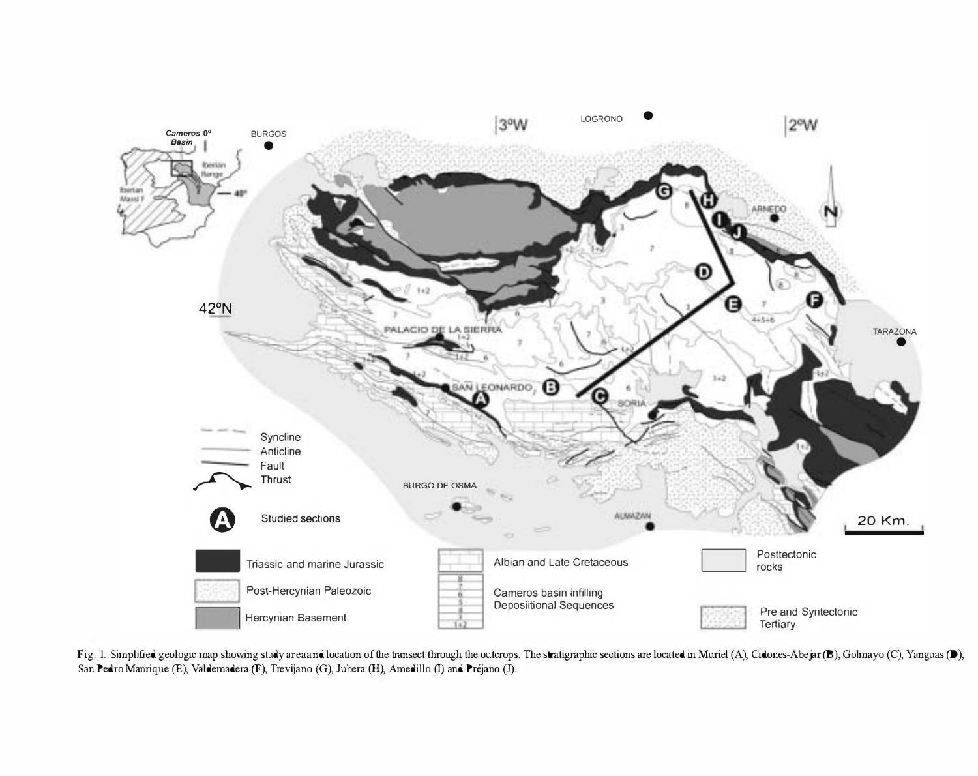

Fig. 1. Simplified geologic map showing study area and location of the transect through the outcrops. The stratigraphic sections are located in Muriel (A), Cidones-Abejar (B), Golmayo (C), Yanguas (D), San Pedro Manrique (E), Valdemadera (F), Trevijano (G), Jubera (H), Amedillo (I) and Préjano (J).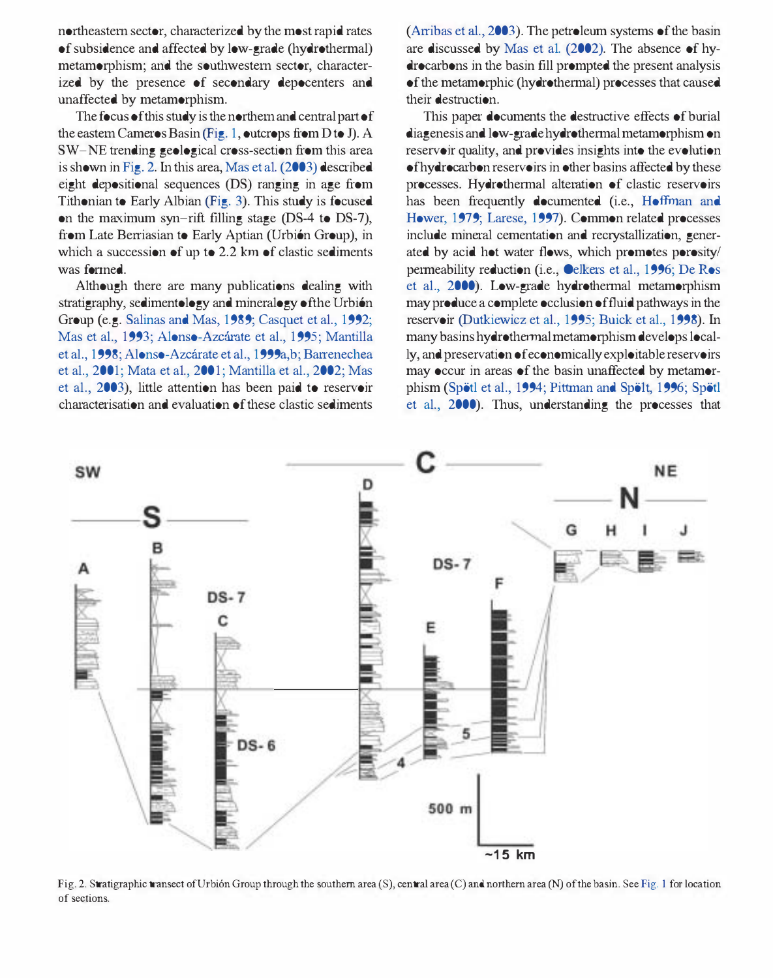northeastern sector, chamcterized by the most rapid rates of subsidence and affected by low-grade (hydrothermal) metamorphism; and the southwestern sector, characterized by the presence of secondary depocenters and unaffected by metamorphism.

The focus of this study is the northern and central part of the eastern Cameros Basin (Fig. 1, outcrops from D to 1). A SW-NE trending geological cross-section from this area is shown in Fig. 2. In this area, Mas et a1. (2003) described eight depositional sequences (DS) ranging in age from Tithonian to Early Albian (Fig. 3). This study is focused on the maximum syn-rift filling stage (DS-4 to DS-7), from Late Berriasian to Early Aptian (Urbión Group), in which a succession of up to 2.2 km of clastic sediments was formed.

Although there are many publications dealing with stratigraphy, sedimentology and mineralogy of the Urbión Group (e.g. Salinas and Mas, 1989; Casquet et al., 1992; Mas et al., 1993; Alonso-Azcárate et al., 1995; Mantilla et aI., 1998; Alonso-Azearate et aI., 1999a,b; Barrenechea et al., 2001; Mata et al., 2001; Mantilla et al., 2002; Mas et aI., 2003), little attention has been paid to reservoir characterisation and evaluation of these clastic sediments (Arribas et al., 2003). The petroleum systems of the basin are discussed by Mas et al. (2002). The absence of hydrocarbons in the basin fill prompted the present analysis of the metamorphic (hydrothermal) processes that caused their destruction.

This paper documents the destructive effects of burial diagenesis and low-grade hydrothermal metamorphism on reservoir quality, and provides insights into the evolution of hydro car bon reservoirs in other basins affected by these processes. Hydrothermal alteration of clastic reservoirs has been frequently documented (i.e., Hoffman and Hower, 1979; Larese, 1997). Common related processes include mineral cementation and recrystallization, generated by acid hot water flows, which promotes porosity/ permeability reduction (i.e., Oelkers et aI., 1996; De Ros et aI., 2000). Low-grade hydrothermal metamorphism may produce a complete occlusion of fluid pathways in the reservoir (Dutkiewicz et aI., 1995; Buick et aI., 1998). In many basins hydrothermal metamorphism develops locally, and preservation of economically exploitable reservoirs may occur in areas of the basin unaffected by metamorphism (Spötl et al., 1994; Pittman and Spölt, 1996; Spötl et aI., 2000). Thus, understanding the processes that



Fig. 2. Stratigraphic transect of Urbión Group through the southern area (S), central area (C) and northern area (N) of the basin. See Fig. 1 for location of sections.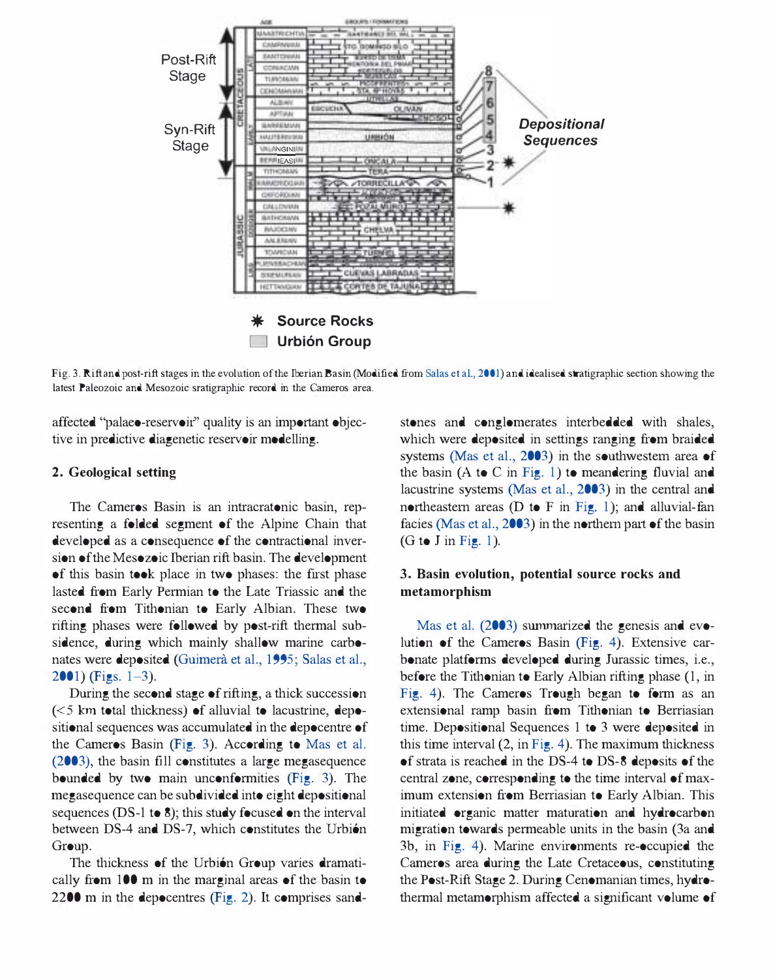

Fig. 3. Rift and post-rift stages in the evolution of the Iberian Basin (Modified from Salas et aL, 2001) and idealised stratigraphic section showing the latest Paleozoic and Mesozoic sratigraphic record in the Cameros area.

affected "palaeo-reservoir" quality is an important objective in predictive diagenetic reservoir modelling.

#### 2. Geological setting

The Cameros Basin is an intracratonic basin, representing a folded segment of the Alpine Chain that developed as a consequence of the contractional inversion of the Mesozoic Iberian rift basin. The development of this basin took place in two phases: the fIrst phase lasted from Early Permian to the Late Triassic and the second from Tithonian to Early Albian. These two rifting phases were followed by post-rift thermal subsidence, during which mainly shallow marine carbonates were deposited (Guimerà et al., 1995; Salas et al.,  $2001$ ) (Figs.  $1-3$ ).

During the second stage of rifting, a thick succession  $(<$  5 km total thickness) of alluvial to lacustrine, depositional sequences was accumulated in the depocentre of the Cameros Basin (Fig. 3). According to Mas et al. (2003), the basin fIll constitutes a large megasequence bounded by two main unconformities (Fig. 3). The megasequence can be subdivided into eight depositional sequences (DS-1 to 8); this study focused on the interval between DS-4 and DS-7, which constitutes the Urbión Group.

The thickness of the Urbión Group varies dramatically from 100 m in the marginal areas of the basin to 2200 m in the depocentres (Fig. 2). It comprises sandstones and conglomerates interbedded with shales, which were deposited in settings ranging from braided systems (Mas et al., 2003) in the southwestern area of the basin (A to C in Fig. 1) to meandering fluvial and lacustrine systems (Mas et aI., 2003) in the central and northeastern areas ( $D$  to  $F$  in Fig. 1); and alluvial-fan facies (Mas et al., 2003) in the northern part of the basin  $(G to J in Fig. 1).$ 

# 3. Basin evolution, potential source rocks and metamorphism

Mas et al. (2003) summarized the genesis and evolution of the Cameros Basin (Fig. 4). Extensive carbonate platforms developed during Jurassic times, i.e., before the Tithonian to Early Albian rifting phase (I, in Fig. 4). The Cameros Trough began to form as an extensional ramp basin from Tithonian to Berriasian time. Depositional Sequences 1 to 3 were deposited in this time interval (2, in Fig. 4). The maximum thickness of strata is reached in the DS-4 to DS-8 deposits of the central zone, corresponding to the time interval of maximum extension from Berriasian to Early Albian. This initiated organic matter maturation and hydrocarbon migration towards permeable units in the basin (3a and 3b, in Fig. 4). Marine environments re-occupied the Cameros area during the Late Cretaceous, constituting the Post-Rift Stage 2. During Cenomanian times, hydrothermal metamorphism affected a significant volume of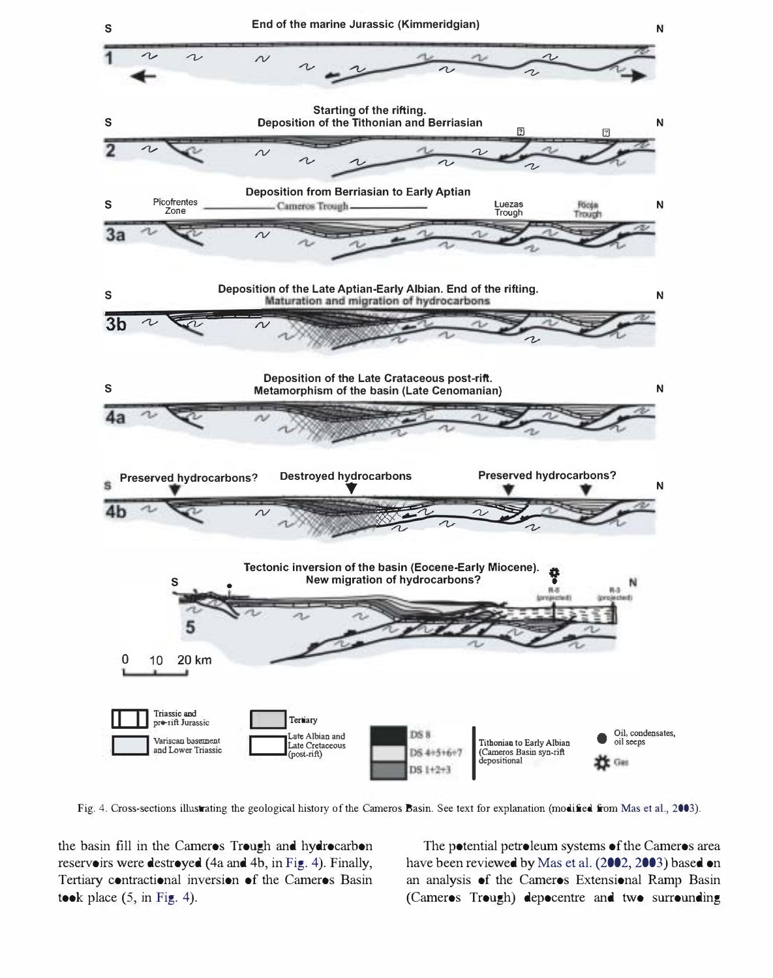

Fig. 4. Cross-sections illustrating the geological history of the Cameros Basin. See text for explanation (modified from Mas et al., 2003).

the basin fill in the Cameros Trough and hydrocarbon reservoirs were destroyed (4a and 4b, in Fig. 4). Finally, Tertiary contractional inversion of the Cameros Basin took place  $(5, \text{in Fig. 4}).$ 

The potential petroleum systems of the Cameros area have been reviewed by Mas et al. (2002, 2003) based on an analysis of the Cameros Extensional Ramp Basin (Cameros Trough) depocentre and two surrounding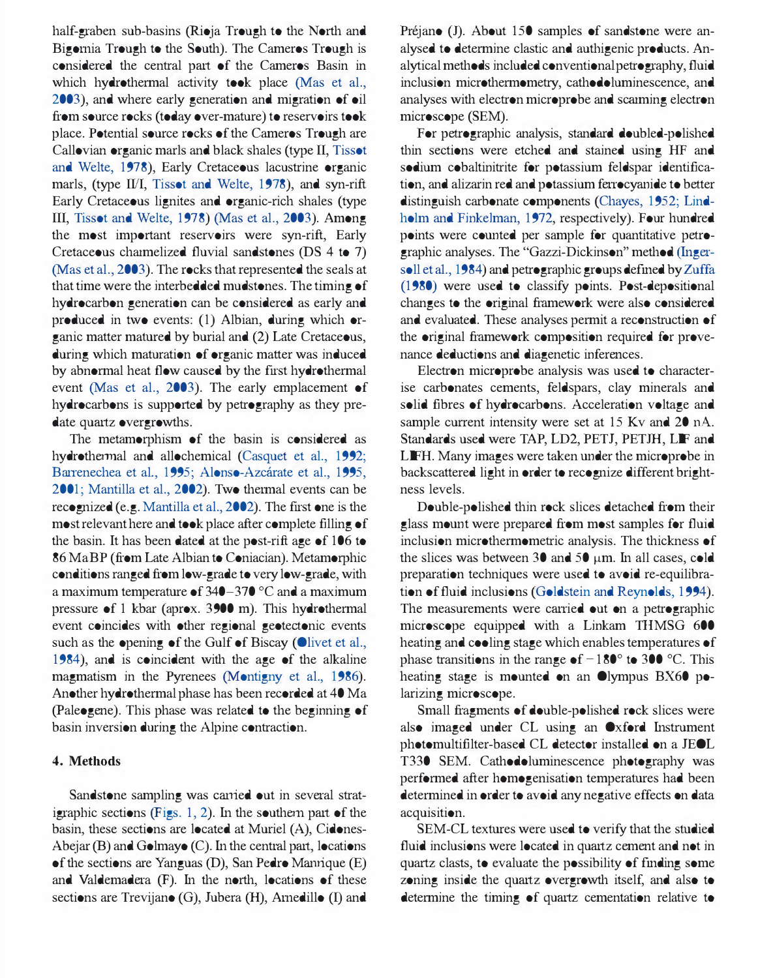half-graben sub-basins (Rioja Trough to the North and Bigomia Trough to the South). The Cameros Trough is considered the central part of the Cameros Basin in which hydrothermal activity took place (Mas et al., 2003), and where early generation and migration of oil from source rocks (today over-mature) to reservoirs took place. Potential source rocks of the Cameros Trough are Callovian organic marls and black shales (type II, Tissot and Welte, 1978), Early Cretaceous lacustrine organic marls, (type II/I, Tissot and Welte, 1978), and syn-rift Early Cretaceous lignites and organic-rich shales (type III, Tissot and Welte, 1978) (Mas et aI., 2003). Among the most important reservoirs were syn-rift, Early Cretaceous charmelized fluvial sandstones (DS 4 to 7) (Mas et aI., 2003). The rocks that represented the seals at that time were the interbedded mudstones. The timing of hydrocarbon generation can be considered as early and produced in two events: (I) Albian, during which organic matter matured by burial and (2) Late Cretaceous, during which maturation of organic matter was induced by abnormal heat flow caused by the first hydrothermal event (Mas et aI., 2003). The early emplacement of hydrocarbons is supported by petrography as they predate quartz overgrowths.

The metamorphism of the basin is considered as hydrothermal and allochemical (Casquet et aI., 1992; Barrenechea et al., 1995; Alonso-Azcárate et al., 1995, 2001; Mantilla et aI., 2002). Two thermal events can be recognized (e.g. Mantilla et a!., 2002). The fIrst one is the most relevant here and took place after complete fIlling of the basin. It has been dated at the post-rift age of 106 to 86 MaBP (from Late Albian to Coniacian). Metamorphic conditions ranged from low-grade to very low-grade, with a maximum temperature of 340-370 °C and a maximum pressure of 1 kbar (aprox. 3900 m). This hydrothermal event coincides with other regional geotectonic events such as the opening of the Gulf of Biscay (Olivet et al., 1984), and is coincident with the age of the alkaline magmatism in the Pyrenees (Montigny et al., 1986). Another hydrothermal phase has been recorded at 40 Ma (paleogene). This phase was related to the beginning of basin inversion during the Alpine contraction.

## 4. Methods

Sandstone sampling was earned out in several stratigraphic sections (Figs. 1, 2). In the southern part of the basin, these sections are located at Muriel (A), Cidones-Abejar (B) and Golmayo (C). In the central part, locations of the sections are Yanguas (D), San Pedro Manrique (E) and Valdemadera (F). In the north, locations of these sections are Trevijano (G), Jubera (H), Arnedillo (I) and Préjano (J). About 15<sup>0</sup> samples of sandstone were analysed to determine clastic and authigenic products. Analytical methods included conventional petrography, fluid inclusion microthermometry, cathodoluminescence, and analyses with electron microprobe and scanning electron microscope (SEM).

For petrographic analysis, standard doubled-polished thin sections were etched and stained using HF and sodium cobaltinitrite for potassium feldspar identification, and alizarin red and potassium ferrocyanide to better distinguish carbonate components (Chayes, 1952; Lindholm and Finkelman, 1972, respectively). Four hundred points were counted per sample for quantitative petrographic analyses. The "Gazzi-Dickinson" method (Ingersoll et a1., 1984) and petrographic groups defmed by Zuffa (1980) were used to classify points. Post-depositional changes to the original framework were also considered and evaluated. These analyses permit a reconstruction of the original framework composition required for provenance deductions and diagenetic inferences.

Electron microprobe analysis was used to characterise carbonates cements, feldspars, clay minerals and solid fibres of hydrocarbons. Acceleration voltage and sample current intensity were set at  $15$  Kv and  $20$  nA. Standards used were TAP, LD2, PETJ, PETJH, LIF and LIFH. Many images were taken under the microprobe in backscattered light in order to recognize different brightness levels.

Double-polished thin rock slices detached from their glass mount were prepared from most samples for fluid inclusion microthermometric analysis. The thickness of the slices was between 30 and 50  $\mu$ m. In all cases, cold preparation techniques were used to avoid re-equilibration of fluid inclusions (Goldstein and Reynolds, 1994). The measurements were carried out on a petrographic microscope equipped with a Linkam THMSG 600 heating and cooling stage which enables temperatures of phase transitions in the range of  $-180^\circ$  to 300 °C. This heating stage is mounted on an Olympus BX60 polarizing microscope.

Small fragments of double-polished rock slices were also imaged under CL using an Oxford Instrument photomultifIlter-based CL detector installed on a JEOL T330 SEM. Cathodoluminescence photography was performed after homogenisation temperatures had been determined in order to avoid any negative effects on data acquisition.

SEM-CL textures were used to verify that the studied fluid inclusions were located in quartz cement and not in quartz clasts, to evaluate the possibility of fmding some zoning inside the quartz overgrowth itself, and also to determine the timing of quartz cementation relative to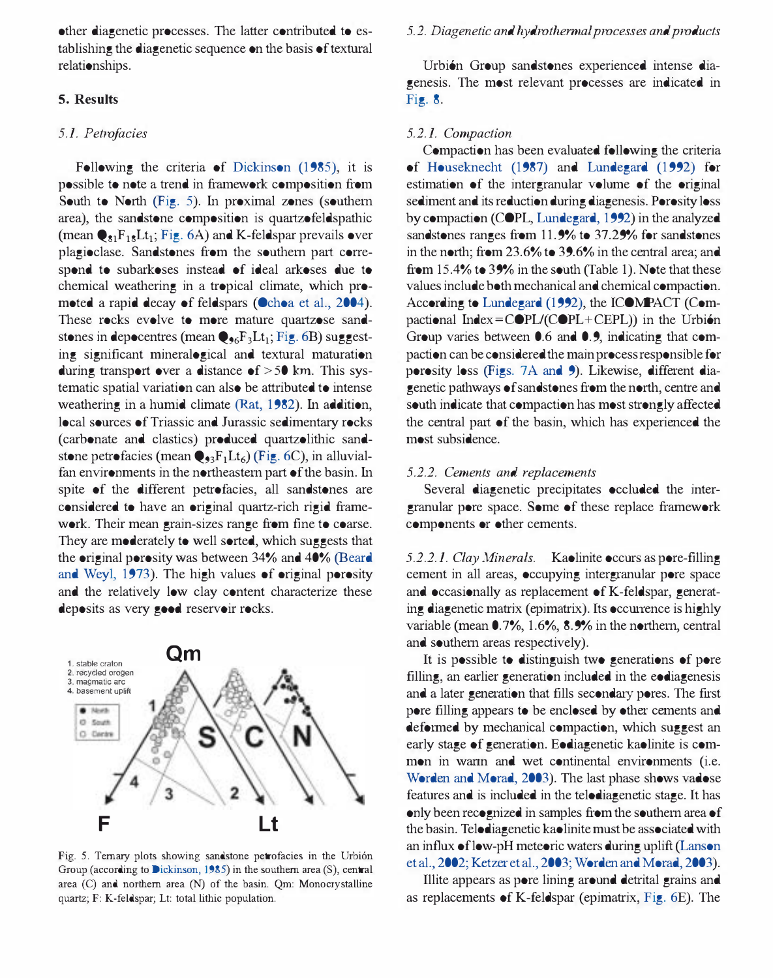other diagenetic processes. The latter contributed to establishing the diagenetic sequence on the basis of textural relationships.

## 5. Results

#### 5.1. Petrofacies

Following the criteria of Dickinson (1985), it is possible to note a trend in framework composition from South to North (Fig. 5). In proximal zones (southern area), the sandstone composition is quartzofeldspathic (mean  $\mathbf{\Theta}_{\delta 1}$ F<sub>18</sub>Lt<sub>1</sub>; Fig. 6A) and K-feldspar prevails over plagioclase. Sandstones from the southern part correspond to subarkoses instead of ideal arkoses due to chemical weathering in a tropical climate, which promoted a rapid decay of feldspars (Ochoa et aI., 2004). These rocks evolve to more mature quartzose sandstones in depocentres (mean  $\mathbf{Q}_{96}F_3Lt_1$ ; Fig. 6B) suggesting significant mineralogical and textural maturation during transport over a distance of  $> 50$  km. This systematic spatial variation can also be attributed to intense weathering in a humid climate (Rat, 1982). In addition, local sources of Triassic and Jurassic sedimentary rocks (carbonate and clastics) produced quartzolithic sandstone petrofacies (mean  $\mathbf{Q}_{3}F_{1}Lt_{6}$ ) (Fig. 6C), in alluvialfan environments in the northeastern part of the basin. In spite of the different petrofacies, all sandstones are considered to have an original quartz-rich rigid framework. Their mean grain-sizes range from fine to coarse. They are moderately to well sorted, which suggests that the original porosity was between 34% and 40% (Beard and Weyl, 1973). The high values of original porosity and the relatively low clay content characterize these deposits as very good reservoir rocks.



Fig. 5. Ternary plots showing sandstone petrofacies in the Urbión Group (according to Dickinson, 1985) in the southern area  $(S)$ , central area (C) and northern area (N) of the basin. Qm: Monocrystalline quartz; F: K-feldspar; Lt: total lithic population.

#### 5.2. Diagenetic and hydrothermal processes and products

Urbién Group sandstones experienced intense diagenesis. The most relevant processes are indicated in Fig. 8.

#### 5.2.1. Compaction

Compaction has been evaluated following the criteria of Houseknecht (1987) and Lundegard (1992) for estimation of the intergranular volume of the original sediment and its reduction during diagenesis. Porosity loss by compaction (COPL, Lundegard, 1992) in the analyzed sandstones ranges from 11.9% to 37.29% for sandstones in the north; from 23.6% to 39.6% in the central area; and from 15.4% to 39% in the south (Table 1). Note that these values include both mechanical and chemical compaction. According to Lundegard (1992), the [COMPACT (Compactional Index =  $\text{COPL}$ (COPL+CEPL)) in the Urbión Group varies between 0.6 and 0.9, indicating that compaction can be considered the main process responsible for porosity loss (Figs. 7A and 9). Likewise, different diagenetic pathways of sandstones from the north, centre and south indicate that compaction has most strongly affected the central part of the basin, which has experienced the most subsidence.

## 5.2.2. Cements and replacements

Several diagenetic precipitates occluded the intergranular pore space. Some of these replace framework components or other cements.

5.2.2.1. Clay Minerals. Kaolinite occurs as pore-filling cement in all areas, occupying intergranular pore space and occasionally as replacement of K-feldspar, generating diagenetic matrix (epimatrix). Its occurrence is highly variable (mean 0.7%, 1.6%, 8.9% in the northern, central and southern areas respectively).

It is possible to distinguish two generations of pore filling, an earlier generation included in the eodiagenesis and a later generation that fills secondary pores. The first pore filling appears to be enclosed by other cements and deformed by mechanical compaction, which suggest an early stage of generation. Eodiagenetic kaolinite is common in warm and wet continental environments (i.e. Worden and Morad, 2003). The last phase shows vadose features and is included in the telodiagenetic stage. It has only been recognized in samples from the southern area of the basin. Telodiagenetic kaolinite must be associated with an influx of low-pH meteoric waters during uplift (Lanson et aI., 2002; Ketzer et aI., 2003; Worden and Morad, 2003).

Illite appears as pore lining around detrital grains and as replacements of K-feldspar (epimatrix, Fig. 6E). The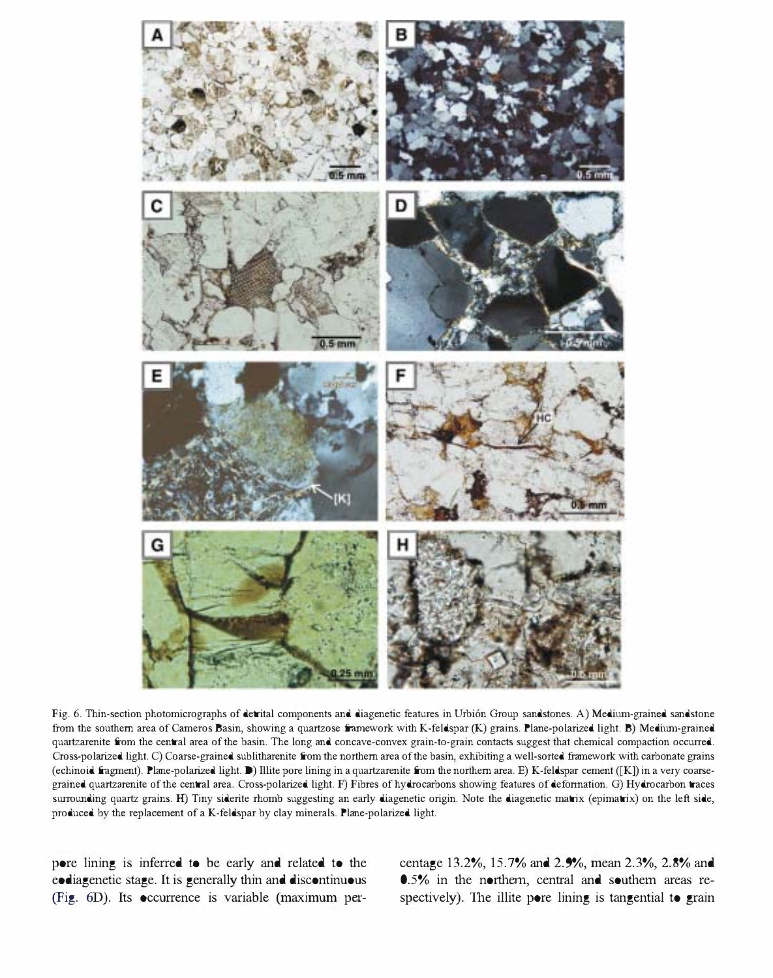

Fig. 6. Thin-section photomicrographs of detrital components and diagenetic features in Urbión Group sandstones. A) Medium-grained sandstone from the southern area of Cameros Basin, showing a quartzose framework with K-feldspar (K) grains. Plane-polarized light. B) Medium-grained quartzarenite from the central area of the basin. The long and concave-convex grain-to-grain contacts suggest that chemical compaction occurred. Cross-polarized light. C) Coarse-grained sublitharenite from the northern area of the basin, exhibiting a well-sorted framework with carbonate grains (echinoid fragment). Plane-polarized light. D) Illite pore lining in a quartzarenite from the northern area. E) K-feldspar cement ([K]) in a very coarsegrained quartzarenite of the central area. Cross-polarized light. F) Fibres of hydrocarbons showing features of defonnation. G) Hydrocarbon traces surrounding quartz grains. H) Tiny siderite rhomb suggesting an early diagenetic origin. Note the diagenetic matrix (epimatrix) on the left side, produced by the replacement of a K-feldspar by clay minerals. Plane-polarized light.

pore lining is inferred to be early and related to the eodiagenetic stage. It is generally thin and discontinuous (Fig. 6D). Its occorrence is variable (maximum percentage 13.2%, 15.7% and 2.9%, mean 2.3%, 2.8% and 0.5% in the northern, central and southern areas respectively). The illite pore lining is tangential to grain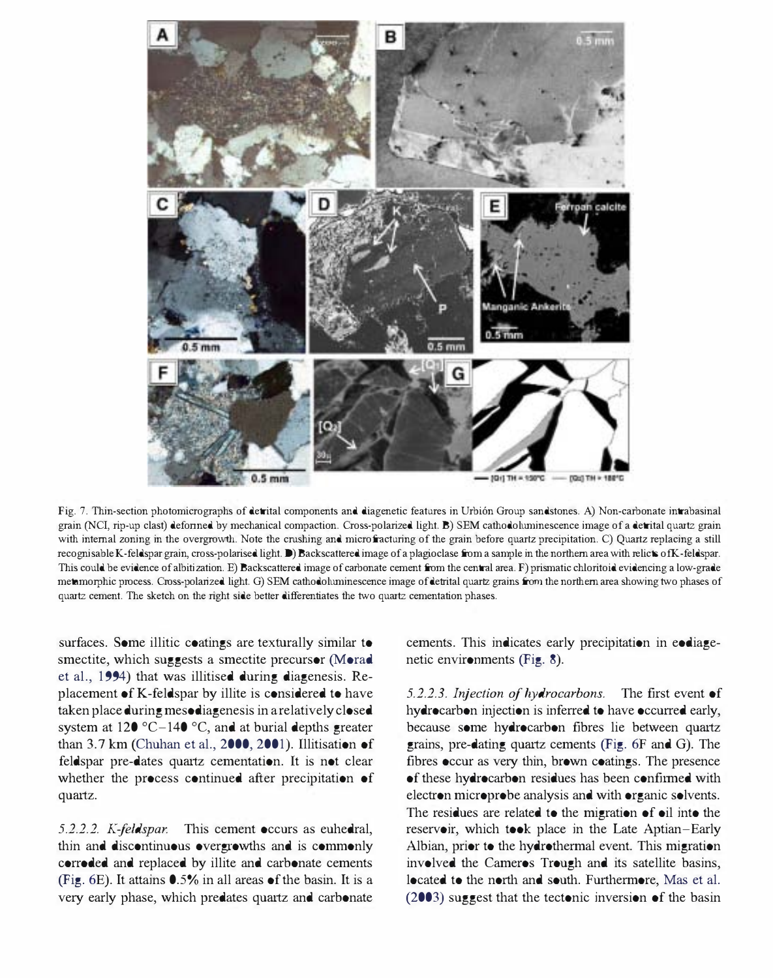

Fig. 7. Thin-section photomicrographs of detrital components and diagenetic features in Urbi6n Group sandstones. A) Non-carbonate intrabasinal grain (NCI, rip-up clast) deformed by mechanical compaction. Cross-polarized light. B) SEM cathodoluminescence image of a detrital quartz grain with internal zoning in the overgrowth. Note the crushing and microfracturing of the grain before quartz precipitation. C) Quartz replacing a still recognisable K-feldspar grain, cross-polarised light. D) Backscattered image of a plagioclase from a sample in the northern area with relicts ofK-feldspar. This could be evidence of albitization. E) Backscattered image of carbonate cement from the central area. F) prismatic chloritoid evidencing a low-grade metamorphic process. Cross-polarized light. G) SEM cathodoluminescence image of detrital quartz grains from the northern area showing two phases of quartz cement. The sketch on the right side better differentiates the two quartz cementation phases.

surfaces. Some illitic coatings are texturally similar to smectite, which suggests a smectite precursor (Morad et aI., 1994) that was illitised during diagenesis. Replacement of K-feldspar by illite is considered to have taken place during mesodiagenesis in a relatively closed system at 120 °C-140 °C, and at burial depths greater than 3.7 km (Chuhan et al., 2000, 2001). Illitisation of feldspar pre-dates quartz cementation. It is not clear whether the process continued after precipitation of quartz.

5.2.2.2. K-feldspar. This cement occurs as euhedral, thin and discontinuous overgrowths and is commonly corroded and replaced by illite and carbonate cements (Fig. 6E). It attains 0.5% in all areas of the basin. It is a very early phase, which predates quartz and carbonate cements. This indicates early precipitation in eodiagenetic environments (Fig. 8).

5.2.2.3. Injection of hydrocarbons. The first event of hydrocarbon injection is inferred to have occurred early, because some hydrocarbon fibres lie between quartz grains, pre-dating quartz cements (Fig. 6F and G). The fibres occur as very thin, brown coatings. The presence of these hydrocarbon residues has been confirmed with electron microprobe analysis and with organic solvents. The residues are related to the migration of oil into the reservoir, which took place in the Late Aptian-Early Albian, prior to the hydrothermal event. This migration involved the Cameros Trough and its satellite basins, located to the north and south. Furthermore, Mas et al. (2003) suggest that the tectonic inversion of the basin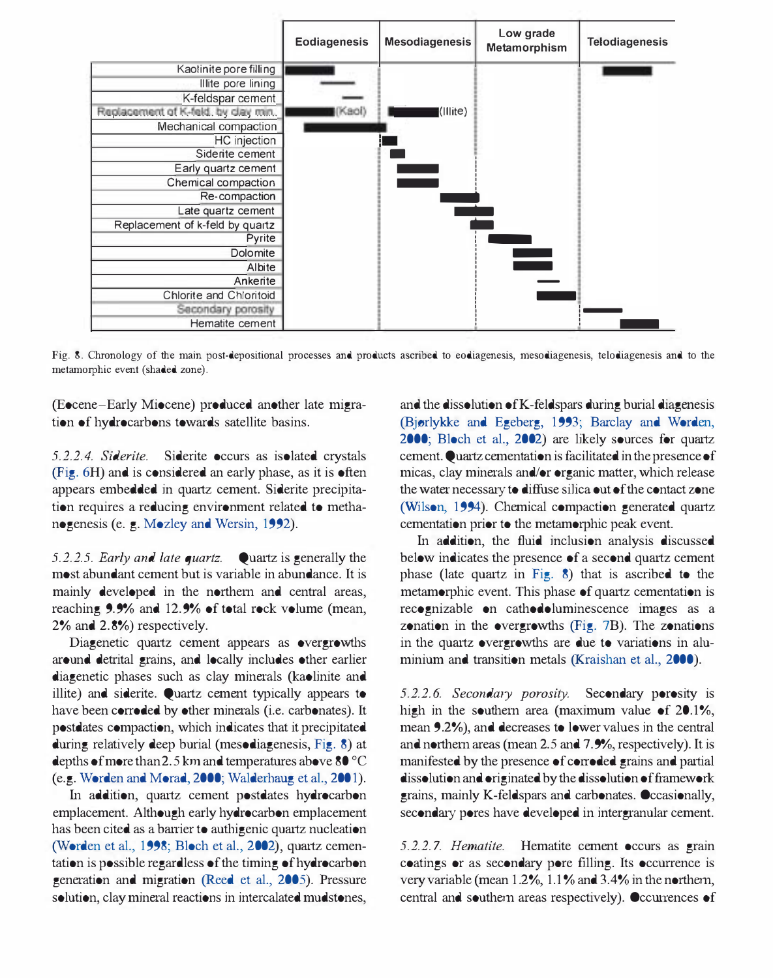

Fig. 8. Chronology of the main post-depositional processes and products ascribed to eodiagenesis, mesodiagenesis, telodiagenesis and to the metamorphic event (shaded zone).

(Eocene-Early Miocene) produced another late migration of hydrocarbons towards satellite basins.

5.2.2.4. Siderite. Siderite occurs as isolated crystals (Fig. 6H) and is considered an early phase, as it is often appears embedded in quartz cement. Siderite precipitation requires a reducing environment related to methanogenesis (e. g. Mozley and Wersin, 1992).

5.2.2.5. Early and late quartz. Quartz is generally the most abundant cement but is variable in abundance. It is mainly developed in the northern and central areas, reaching 9.9% and 12.9% of total rock volume (mean, 2% and 2.8%) respectively.

Diagenetic quartz cement appears as overgrowths around detrital grains, and locally includes other earlier diagenetic phases such as clay minerals (kaolinite and illite) and siderite. Quartz cement typically appears to have been corroded by other minerals (i.e. carbonates). It postdates compaction, which indicates that it precipitated during relatively deep burial (mesodiagenesis, Fig. 8) at depths of more than 2.5 km and temperatures above 80 °C (e.g. Worden and Morad, 2000; Walderhang et aL, 200 1).

In addition, quartz cement postdates hydrocarbon emplacement. Although early hydrocarbon emplacement has been cited as a barrier to authigenic quartz nucleation (Worden et al., 1998; Bloch et al., 2002), quartz cementation is possible regardless of the timing of hydrocarbon generation and migration (Reed et aL, 2005). Pressure solution, clay mineral reactions in intercalated mudstones, and the dissolution of K-feldspars during burial diagenesis (Bjorlykke and Egeberg, 1993; Barclay and Worden, 2000; Bloch et aL, 2002) are likely sources for quartz cement. Quartz cementation is facilitated in the presence of micas, clay minerals and/or organic matter, which release the water necessary to diffuse silica out of the contact zone (Wilson, 1994). Chemical compaction generated quartz cementation prior to the metamorphic peak event.

In addition, the fluid inclusion analysis discussed below indicates the presence of a second quartz cement phase (late quartz in Fig. 8) that is ascribed to the metamorphic event. This phase of quartz cementation is recognizable on cathodoluminescence images as a zonation in the overgrowths (Fig. 7B). The zonations in the quartz overgrowths are due to variations in aluminium and transition metals (Kraishan et al., 2000).

5.2.2.6. Secondary porosity. Secondary porosity is high in the southern area (maximum value of  $20.1\%$ , mean 9.2%), and decreases to lower values in the central and northern areas (mean 2.5 and 7.9%, respectively). It is manifested by the presence of corroded grains and partial dissolution and originated by the dissolution of framework grains, mainly K -feldspars and carbonates. Occasionally, secondary pores have developed in intergranular cement.

5.2.2.7. Hematite. Hematite cement occurs as grain coatings or as secondary pore filling. Its occurrence is very variable (mean 1.2%, 1.1 % and 3.4% in the northern, central and southern areas respectively). Occurrences of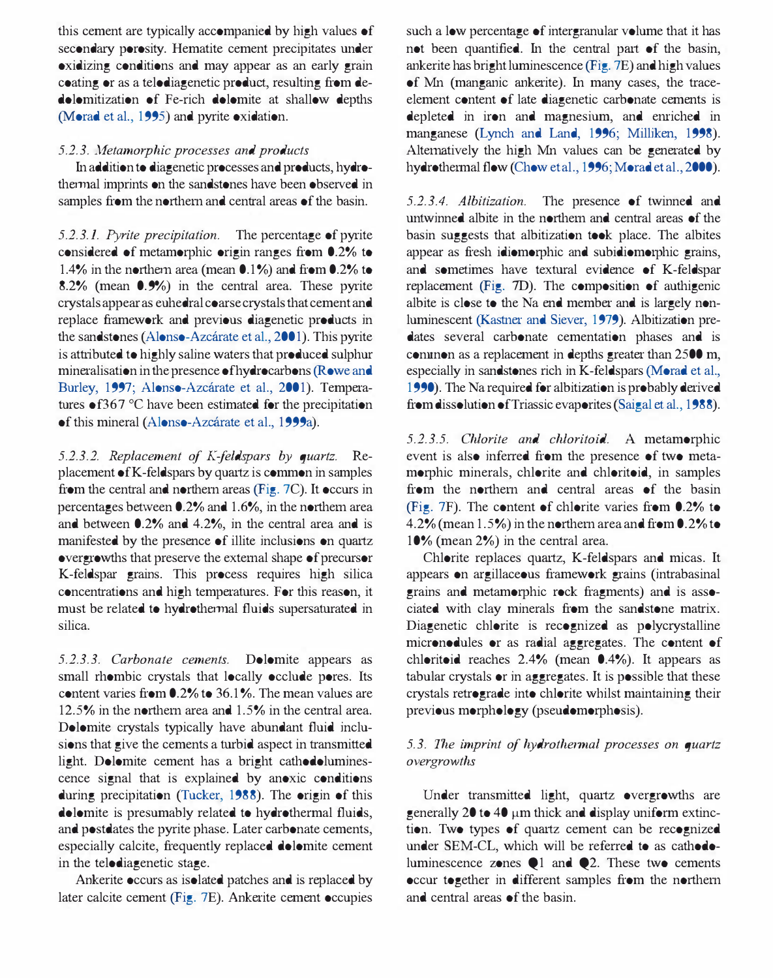this cement are typically accompanied by high values of secondary porosity. Hematite cement precipitates under oxidizing conditions and may appear as an early grain coating or as a telodiagenetic product, resulting from dedolomitization of Fe-rich dolomite at shallow depths (Morad et aI., 1995) and pyrite oxidation.

## 5.2.3. Metamorphic processes and products

In addition to diagenetic processes and products, hydrothermal imprints on the sandstones have been observed in samples from the northern and central areas of the basin.

5.2.3.1. Pyrite precipitation. The percentage of pyrite considered of metamorphic origin ranges from 0.2% to 1.4% in the northern area (mean  $0.1\%$ ) and from 0.2% to 8.2% (mean 0.9%) in the central area. These pyrite crystals appear as euhedral coarse crystals that cement and replace framework and previous diagenetic products in the sandstones (Alonso-Azcárate et al., 2001). This pyrite is attributed to highly saline waters that produced sulphur mineralisation in the presence of hydrocarbons (Rowe and Burley, 1997; Alonso-Azcárate et al., 2001). Temperatures  $\bullet$  f367 °C have been estimated for the precipitation of this mineral (Alonso-Azcárate et al., 1999a).

5.2.3.2. Replacement of K-feldspars by quartz. Replacement of K-feldspars by quartz is common in samples from the central and northern areas (Fig. 7C). It occurs in percentages between 0.2% and 1.6%, in the northern area and between 0.2% and 4.2%, in the central area and is manifested by the presence of illite inclusions on quartz overgrowths that preserve the external shape of precursor K-feldspar grains. This process requires high silica concentrations and high temperatures. For this reason, it must be related to hydrothermal fluids supersaturated in silica.

5.2.3.3. Carbonate cements. Dolomite appears as small rhombic crystals that locally occlude pores. Its content varies from 0.2% to 36.1 %. The mean values are 12.5% in the northern area and 1.5% in the central area. Dolomite crystals typically have abundant fluid inclusions that give the cements a turbid aspect in transmitted light. Dolomite cement has a bright cathodoluminescence signal that is explained by anoxic conditions during precipitation (Tucker, 1988). The origin of this dolomite is presumably related to hydrothermal fluids, and postdates the pyrite phase. Later carbonate cements, especially calcite, frequently replaced dolomite cement in the telodiagenetic stage.

Ankerite occurs as isolated patches and is replaced by later calcite cement (Fig. 7E). Ankerite cement occupies

such a low percentage of intergranular volume that it has not been quantified. In the central part of the basin, ankerite has bright luminescence (Fig. 7E) and high values of Mn (manganic ankerite). In many cases, the traceelement content of late diagenetic carbonate cements is depleted in iron and magnesium, and emiched in manganese (Lynch and Land, 1996; Milliken, 1998). Alternatively the high Mn values can be generated by hydrothermal flow (Chow et al., 1996; Morad et al., 2000).

5.2.3.4. Albitization. The presence of twinned and untwinned albite in the northern and central areas of the basin suggests that albitization took place. The albites appear as fresh idiomorphic and subidiomorphic grains, and sometimes have textoral evidence of K-feldspar replacement (Fig. 7D). The composition of authigenic albite is close to the Na end member and is largely nonluminescent (Kastner and Siever, 1979). Albitization predates several carbonate cementation phases and is connnon as a replacement in depths greater than 2500 m, especially in sandstones rich in K-feldspars (Morad et aI., 1990). The Na required for albitization is probably derived from dissolution of Triassic evaporites (Saigal et al., 1988).

5.2.3.5. Chlorite and chloritoid. A metamorphic event is also inferred from the presence of two metamorphic minerals, chlorite and chloritoid, in samples from the northern and central areas of the basin (Fig. 7F). The content of chlorite varies from 0.2% to 4.2% (mean 1.5%) in the northern area and from 0.2% to 10% (mean 2%) in the central area.

Chlorite replaces quartz, K-feldspars and micas. It appears on argillaceous framework grains (intrabasinal grains and metamorphic rock fragments) and is associated with clay minerals from the sandstone matrix. Diagenetic chlorite is recognized as polycrystalline micronodules or as radial aggregates. The content of chloritoid reaches 2.4% (mean 0.4%). It appears as tabular crystals or in aggregates. It is possible that these crystals retrograde into chlorite whilst maintaining their previous morphology (pseudomorphosis).

# 5.3. The imprint of hydrothennal processes on quartz overgrowths

Under transmitted light, quartz overgrowths are generally 20 to 40  $\mu$ m thick and display uniform extinction. Two types of quartz cement can be recognized under SEM-CL, which will be referred to as cathodoluminescence zones  $\bigcirc$ 1 and  $\bigcirc$ 2. These two cements occur together in different samples from the northern and central areas of the basin.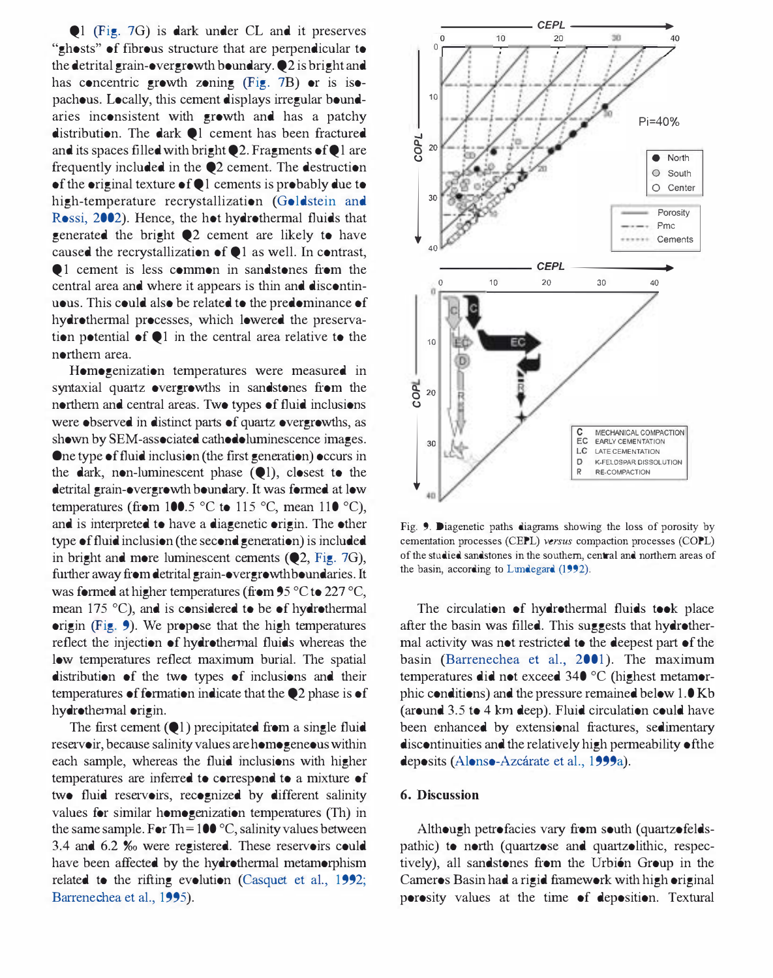$\bigcirc$  I (Fig. 7G) is dark under CL and it preserves "ghosts" of fibrous structure that are perpendicular to the detrital grain-overgrowth boundary. Q2 is bright and has concentric growth zoning (Fig. 7B) or is isopachous. Locally, this cement displays irregular boundaries inconsistent with growth and has a patchy distribution. The dark  $\bullet$  I cement has been fractured and its spaces filled with bright  $Q2$ . Fragments of  $Q1$  are frequently included in the Q2 cement. The destruction of the original texture of QI cements is probably due to high-temperature recrystallization (Goldstein and Rossi, 2002). Hence, the hot hydrothermal fluids that generated the bright Q2 cement are likely to have caused the recrystallization of  $\bigcirc$  1 as well. In contrast, Q 1 cement is less common in sandstones from the central area and where it appears is thin and discontinuous. This could also be related to the predominance of hydrothermal processes, which lowered the preservation potential of  $\bigcirc$  1 in the central area relative to the northern area.

Homogenization temperatures were measured in syntaxial quartz overgrowths in sandstones from the northern and central areas. Two types of fluid inclusions were observed in distinct parts of quartz overgrowths, as shown by SEM-associated cathodoluminescence images. One type of fluid inclusion (the frrst generation) occurs in the dark, non-luminescent phase (QI), closest to the detrital grain-overgrowth boundary. It was formed at low temperatures (from 100.5 °C to 115 °C, mean 110 °C), and is interpreted to have a diagenetic origin. The other type of fluid inclusion (the second generation) is included in bright and more luminescent cements (Q2, Fig. 7G), further away from detrital grain-overgrowth boundaries. It was formed at higher temperatures (from 95 °C to 227 °C, mean 175 °C), and is considered to be of hydrothermal origin (Fig. 9). We propose that the high temperatures reflect the injection of hydrothermal fluids whereas the low tempemtures reflect maximum burial. The spatial distribution of the two types of inclusions and their temperatures of formation indicate that the Q2 phase is of hydrothermal origin.

The first cement  $(Q_1)$  precipitated from a single fluid reservoir, because salinity values are homogeneous within each sample, whereas the fluid inclusions with higher temperatures are inferred to correspond to a mixture of two fluid reservoirs, recognized by different salinity values for similar homogenization tempemtures (Th) in the same sample. For Th =  $100^{\circ}$ C, salinity values between 3.4 and 6.2 %0 were registered. These reservoirs could have been affected by the hydrothermal metamorphism related to the rifting evolution (Casquet et aI., 1992; Barrenechea et aI., 1995).



Fig. 9. Diagenetic paths diagrams showing the loss of porosity by cementation processes (CEPL) versus compaction processes (COPL) of the studied sandstones in the southern, central and northern areas of the basin, according to Lundegard (1992).

The circulation of hydrothermal fluids took place after the basin was filled. This suggests that hydrothermal activity was not restricted to the deepest part of the basin (Barrenechea et al., 2001). The maximum temperatures did not exceed 340 °C (highest metamorphic conditions) and the pressure remained below 1.0 Kb (around 3.5 to 4 km deep). Fluid circulation could have been enhanced by extensional fractures, sedimentary discontinuities and the relatively high permeability of the deposits (Alonso-Azcarate et a!., 1999a).

#### 6. Discussion

Although petrofacies vary from south (quartzofeldspathic) to north (quartzose and quartzolithic, respectively), all sandstones from the Urbión Group in the Cameros Basin had a rigid framework with high original porosity values at the time of deposition. Textural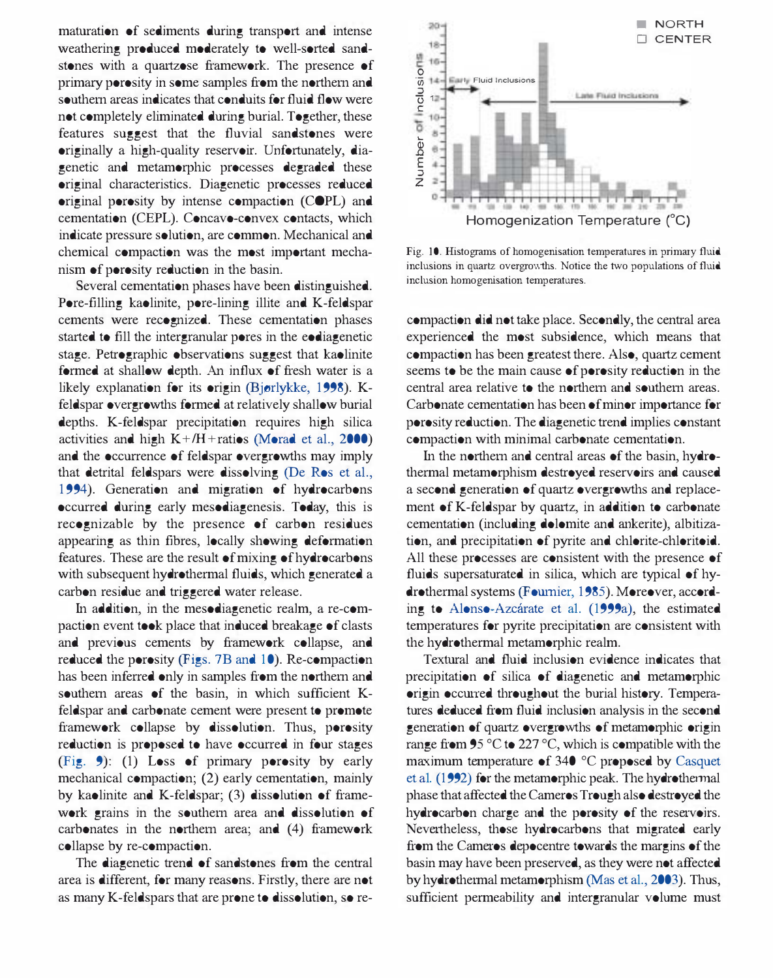maturation of sediments during transport and intense weathering produced moderately to well-sorted sandstones with a quartzose framework. The presence of primary porosity in some samples from the northern and southern areas indicates that conduits for fluid flow were not completely eliminated during burial. Together, these features suggest that the fluvial sandstones were originally a high-quality reservoir. Unfortunately, diagenetic and metamorphic processes degraded these original characteristics. Diagenetic processes reduced original porosity by intense compaction (COPL) and cementation (CEPL). Concavo-convex contacts, which indicate pressure solution, are common. Mechanical and chemical compaction was the most important mechanism of porosity reduction in the basin.

Several cementation phases have been distinguished. Pore-filling kaolinite, pore-lining illite and K-feldspar cements were recognized. These cementation phases started to fill the intergranular pores in the eodiagenetic stage. Petrographic observations suggest that kaolinite formed at shallow depth. An influx of fresh water is a likely explanation for its origin (Bjørlykke, 1998). Kfeldspar overgrowths formed at relatively shallow burial depths. K-feldspar precipitation requires high silical activities and high  $K + / H +$  ratios (Morad et al., 2000) and the occurrence of feldspar overgrowths may imply that detrital feldspars were dissolving (De Ros et aI., 1994). Generation and migration of hydrocarbons occurred during early mesodiagenesis. Today, this is recognizable by the presence of carbon residues appearing as thin fibres, locally showing deformation features. These are the result of mixing of hydrocarbons with subsequent hydrothermal fluids, which generated a carbon residue and triggered water release.

In addition, in the mesodiagenetic realm, a re-compaction event took place that induced breakage of clasts and previous cements by framework collapse, and reduced the porosity (Figs. 7B and 10). Re-compaction has been inferred only in samples from the northern and southern areas of the basin, in which sufficient Kfeldspar and carbonate cement were present to promote framework collapse by dissolution. Thus, porosity reduction is proposed to have occurred in four stages (Fig. 9): (1) Loss of primary porosity by early mechanical compaction; (2) early cementation, mainly by kaolinite and K-feldspar; (3) dissolution of framework grains in the southern area and dissolution of carbonates in the northern area; and (4) framework collapse by re-compaction.

The diagenetic trend of sandstones from the central area is different, for many reasons. Firstly, there are not as many K-feldspars that are prone to dissolution, so re-



Fig. 10. Histograms of homogenisation temperatures in primary fluid inclusions in quartz overgrowths. Notice the two populations of fluid inclusion homogenisation temperatures.

compaction did not take place. Secondly, the central area experienced the most subsidence, which means that compaction has been greatest there. Also, quartz cement seems to be the main cause of porosity reduction in the central area relative to the northern and southern areas. Carbonate cementation has been of minor importance for porosity reduction. The diagenetic trend implies constant compaction with minimal carbonate cementation.

In the northern and central areas of the basin, hydrothermal metamorphism destroyed reservoirs and caused a second generation of quartz overgrowths and replacement of K-feldspar by quartz, in addition to carbonate cementation (including dolomite and ankerite), albitization, and precipitation of pyrite and chlorite-chloritoid. All these processes are consistent with the presence of fluids supersaturated in silica, which are typical of hydrothermal systems (Fournier, 1985). Moreover, according to Alonso-Azcarate et a1. (1999a), the estimated temperatures for pyrite precipitation are consistent with the hydrothermal metamorphic realm.

Textural and fluid inclusion evidence indicates that precipitation of silica of diagenetic and metamorphic origin occurred throughout the burial history. Temperatures deduced from fluid inclusion analysis in the second generation of quartz overgrowths of metamorphic origin range from 95  $\mathrm{^{\circ}C}$  to 227  $\mathrm{^{\circ}C}$ , which is compatible with the maximum temperature of 340 °C proposed by Casquet et al. (1992) for the metamorphic peak. The hydrothermal phase that affected the Cameros Trough also destroyed the hydrocarbon charge and the porosity of the reservoirs. Nevertheless, those hydrocarbons that migrated early from the Cameros depocentre towards the margins of the basin may have been preserved, as they were not affected by hydrothermal metamorphism (Mas et al., 2003). Thus, sufficient permeability and intergranular volume must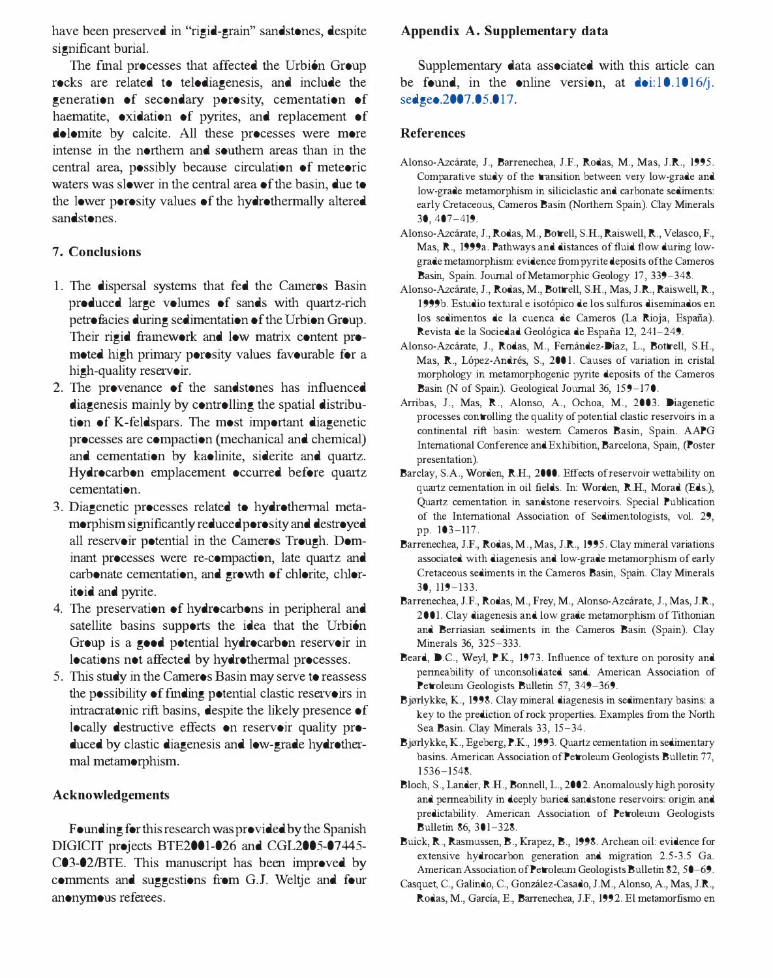have been preserved in "rigid-grain" sandstones, despite significant burial.

The final processes that affected the Urbión Group rocks are related to telodiagenesis, and include the generation of secondary porosity, cementation of haematite, oxidation of pyrites, and replacement of dolomite by calcite. All these processes were more intense in the northern and southern areas than in the central area, possibly because circulation of meteoric waters was slower in the central area of the basin, due to the lower porosity values of the hydrothermally altered sandstones.

# 7. Conclusions

- 1. The dispersal systems that fed the Cameros Basin produced large volumes of sands with quartz-rich petrofacies during sedimentation of the Urbion Group. Their rigid framework and low matrix content promoted high primary porosity values favourable for a high-quality reservoir.
- 2. The provenance of the sandstones has influenced diagenesis mainly by controlling the spatial distribution of K-feldspars. The most important diagenetic processes are compaction (mechanical and chemical) and cementation by kaolinite, siderite and quartz. Hydrocarbon emplacement occurred before quartz cementation.
- 3. Diagenetic processes related to hydrothermal metamorphism significantly reduced porosity and destroyed all reservoir potential in the Cameros Trough. Dominant processes were re-compaction, late quartz and carbonate cementation, and growth of chlorite, chloritoid and pyrite.
- 4. The preservation of hydrocarbons in peripheral and satellite basins supports the idea that the Urbión Group is a good potential hydrocarbon reservoir in locations not affected by hydrothermal processes.
- 5. This study in the Cameros Basin may serve to reassess the possibility of fmding potential clastic reservoirs in intracratonic rift basins, despite the likely presence of locally destructive effects on reservoir quality produced by clastic diagenesis and low-grade hydrothermal metamorphism.

# Acknowledgements

Founding for this research was provided by the Spanish DIGICIT projects BTE2001-026 and CGL2005-07445-C03-02/BTE. This manuscript has been improved by comments and suggestions from G.J. Weltje and four anonymous referees.

# Appendix A. Supplementary data

Supplementary data associated with this article can be found, in the online version, at  $\text{do}: 10.1016/j$ . sedgeo.2007.05.017.

# References

- Alonso-Azearate, J., Barrenechea, J.P', Rodas, M., Mas, J.R., 1995. Comparative study of the transition between very low-grade and low-grade metamorphism in siliciclastic and carbonate sediments: early Cretaceous, Cameros Basin (Northern Spain). Clay Minerals 30, 407-419.
- Alonso-Azearate, J., Rodas, M., Botrell, S.H., Raiswell, R., Velasco, P., Mas, R., 1999a. Pathways and distances of fluid flow during lowgrade metamorphism: evidence from pyrite deposits of the Cameros Basin, Spain. Journal of Metamorphic Geology 17, 339-348.
- Alonso-Azearate, J., Rodas, M., Bottrell, SH., Mas, J.R, Raiswell, R., 1999b. Estudio textural e isotópico de los sulfuros diseminados en los sedimentos de la cuenca de Cameros (La Rioja, España). Revista de la Sociedad Geológica de España 12, 241-249.
- Alonso-Azcárate, J., Rodas, M., Fernández-Díaz, L., Bottrell, S.H., Mas, R., López-Andrés, S., 2001. Causes of variation in cristal morphology in metamorphogenic pyrite deposits of the Cameros Basin (N of Spain). Geological Journal 36, 159-170.
- Arribas, J., Mas, R., Alonso, A., Ochoa, M., 2003. Diagenetic processes controlling the quality of potential clastic reservoirs in a continental rift basin: western Cameros Basin, Spain. AAPG International Conference and Exhibition, Barcelona, Spain, (Poster presentation).
- Barclay, S.A., Worden, R.H., 2000. Effects of reservoir wettability on quartz cementation in oil fields. In: Worden, R.H., Morad (Eds.), Quartz cementation in sandstone reservoirs. Special Publication of the International Association of Sedimentologists, vol. 29, pp. 103-117.
- Barrenechea, J.F., Rodas, M., Mas, J.R., 1995. Clay mineral variations associated with diagenesis and low-grade metamorphism of early Cretaceous sediments in the Cameros Basin, Spain. Clay Minerals 30, 119-133.
- Barrenechea, J.F., Rodas, M., Frey, M., Alonso-Azcárate, J., Mas, J.R., 2001. Clay diagenesis and low grade metamorphism of Tithonian and Berriasian sediments in the Cameros Basin (Spain). Clay Minerals 36, 325-333.
- Beard, D.C., Weyl, P.K., 1973. Influence of texture on porosity and permeability of unconsolidated sand. American Association of Petroleum Geologists Bulletin 57, 349-369.
- Bjorlykke, K., 1998. Clay mineral diagenesis in sedimentary basins: a key to the prediction of rock properties. Examples from the North Sea Basin. Clay Minerals 33, 15-34.
- Bjorlykke, K., Egeberg, P.K., 1993. Quartz cementation in sedimentary basins. American Association of Petroleum Geologists Bulletin 77, 1 536-1548.
- Bloch, S., Lander, RH., Bonnell, L., 2002. Anomalously high porosity and penneability in deeply buried sandstone reservoirs: origin and predictability. American Association of Petroleum Geologists Bulletin 86, 301-328.
- Buick, R., Rasmussen, B., Krapez, B., 1998. Archean oil: evidence for extensive hydrocarbon generation and migration 2.5-3.5 Ga. American Association of Petroleum Geologists Bulletin 82, 50-69.
- Casquet, C., Galindo, C., González-Casado, J.M., Alonso, A., Mas, J.R., Rodas, M., García, E., Barrenechea, J.F., 1992. El metamorfismo en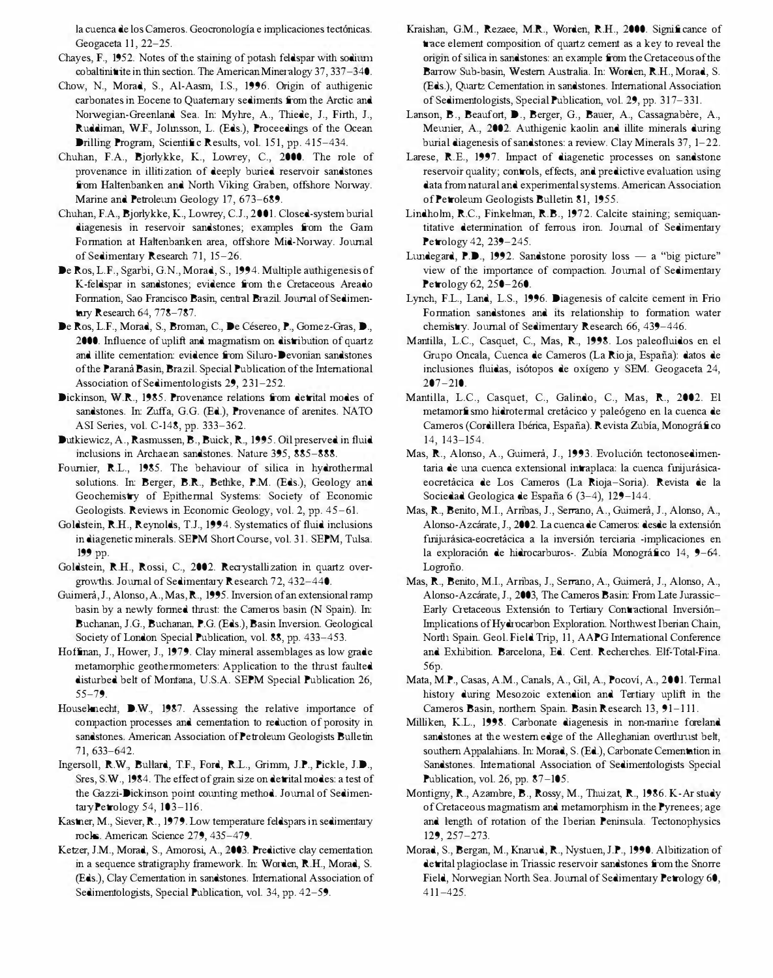la cuenca de los Cameros. Geocronologia e implicaciones tectonicas. Geogaceta 11, 22-25.

- Chayes, F., 1952. Notes of the staining of potash feldspar with sodium  $\cosh(\mathbf{t})$  rite in thin section. The American Mineralogy 37, 337-340.
- Chow, N., Morad, S., AI-Aasm, I.S., 1996. Origin of authigenic carbonates in Eocene to Quaternary sediments from the Arctic and Norwegian-Greenland Sea. In: Myhre, A., Thiede, J., Firth, J., Ruddiman, W.F., Jolmsson, L. (Eds.), Proceedings of the Ocean Drilling Program, Scientific Results, vol. 151, pp. 415-434.
- Chuhan, F.A., Bjorlykke, K., Lowrey, C., 2000. The role of provenance in illitization of deeply buried reservoir sandstones from Haltenbanken and North Viking Graben, offshore Norway. Marine and Petroleum Geology 17, 673-689.
- Chuhan, F.A., Bjorlykke, K, Lowrey, C.J., 2001. Closed-system burial diagenesis in reservoir sandstones; examples from the Gam Formation at Haltenbanken area, offshore Mid-Norway. Journal of Sedimentary Research 71, 15-26.
- De Ros, L.F., Sgarbi, G.N., Morad, S., 1994. Multiple authigenesis of K-feldspar in sandstones; evidence from the Cretaceous Areado Formation, Sao Francisco Basin, central Brazil. Journal of Sedimentary Research 64, 778-787.
- De Ros, L.F., Morad, S., Broman, C., De Césereo, P., Gomez-Gras, D., 2000. Influence of uplift and magmatism on distribution of quartz and illite cementation: evidence from Siluro-Devonian sandstones of the Parana Basin, Brazil. Special Publication of the International Association of Sedimentologists 29, 231-252.
- Dickinson, W.R., 1985. Provenance relations from detrital modes of sandstones. In: Zuffa, G.G. (Ed.), Provenance of arenites. NATO ASI Series, vol. C-148, pp. 333-362.
- Dutkiewicz, A., Rasmussen, B., Buick, R, 1995. Oil preserved in fluid inclusions in Archaean sandstones. Nature 395, 885-888.
- Fournier, RL., 1985. The behaviour of silica in hydrothennal solutions. In: Berger, B.R, Bethke, P.M. (Eds.), Geology and Geochemistry of Epithennal Systems: Society of Economic Geologists. Reviews in Economic Geology, vol. 2, pp. 45-61.
- Goldstein, RH., Reynolds, T.J., 1994. Systematics of fluid inclusions in diagenetic minerals. SEPM Short Course, vol. 31. SEPM, Tulsa. 199 pp.
- Goldstein, RH., Rossi, c., 2002. Recrystallization in quartz overgrowths. Journal of Sedimentary Research 72, 432-440.
- Guimera, J., Alonso, A., Mas, R, 1995. Inversion of an extensional ramp basin by a newly fonned thrust: the Cameros basin (N Spain). In: Buchanan, J.G., Buchanan, P.G. (Eds.), Basin Inversion. Geological Society of London Special Publication, vol. 88, pp. 433-453.
- Hoffman, J., Hower, J., 1979. Clay mineral assemblages as low grade metamorphic geothennometers: Application to the thrust faulted disturbed belt of Montana, U.S.A. SEPM Special Publication 26, 55-79.
- Houseknecht, D.W., 1987. Assessing the relative importance of compaction processes and cementation to reduction of porosity in sandstones. American Association of Petroleum Geologists Bulletin 71, 633-642.
- Ingersoll, RW., Bullard, T.F., Ford, RL., Grimm, J.P., Pickle, J.D., Sres, S.W., 1984. The effect of grain size on detrital modes: a test of the Gazzi-Dickinson point counting method. Journal of SedimentaryPetrology 54, 103-116.
- Kastner, M., Siever, R., 1979. Low temperature feldspars in sedimentary rocks. American Science 279, 435-479.
- Ketzer, J.M., Morad, S., Amorosi, A., 2003. Predictive clay cementation in a sequence stratigraphy framework. In: Worden, R.H., Morad, S. (Eds.), Clay Cementation in sandstones. International Association of Sedimentologists, Special Publication, vol. 34, pp. 42-59.
- Kraishan, G.M., Rezaee, M.R., Worden, R.H., 2000. Significance of trace element composition of quartz cement as a key to reveal the origin of silica in sandstones: an example from the Cretaceous of the Barrow Sub-basin, Western Australia. In: Worden, R.H., Morad, S. (Eds.), Quartz Cementation in sandstones. International Association of Sedimentologists, Special Publication, vol. 29, pp. 317-331.
- Lanson, B., Beaufort, D., Berger, G., Bauer, A., Cassagnabère, A., Meunier, A., 2002. Authigenic kaolin and illite minerals during burial diagenesis of sandstones: a review. Clay Minerals 37, 1-22.
- Larese, R.E., 1997. Impact of diagenetic processes on sandstone reservoir quality; controls, effects, and predictive evaluation using data from natural and experimental systems. American Association of Petroleum Geologists Bulletin 81, 1955.
- Lindholm, R.C., Finkelman, R.B., 1972. Calcite staining; semiquantitative detennination of ferrous iron. Journal of Sedimentary Petrology 42, 239-245.
- Lundegard, P.D., 1992. Sandstone porosity loss  $-$  a "big picture" view of the importance of compaction. Journal of Sedimentary Petrology 62, 250-260.
- Lynch, F.L., Land, L.S., 1996. Diagenesis of calcite cement in Frio Fonnation sandstones and its relationship to fonnation water chemistry. Journal of Sedimentary Research 66, 439-446.
- Mantilla, L.c., Casquet, c., Mas, R, 1998. Los paleofluidos en el Grupo Oncala, Cuenca de Cameros (La Rioja, España): datos de inclusiones fluidas, isótopos de oxígeno y SEM. Geogaceta 24, 207-210.
- Mantilla, L.c., Casquet, c., Galindo, c., Mas, R, 2002. EI metamorfismo hidrotermal cretacico y paleógeno en la cuenca de Cameros (Cordillera Ibérica, España). Revista Zubía, Monográfico 14, 143-154.
- Mas, R., Alonso, A., Guimera, J., 1993. Evolución tectonosedimentaria de una cuenca extensional intraplaca: la cuenca finijurásicaeocretacica de Los Cameros (La Rioja-Soria). Revista de la Sociedad Geologica de España 6 (3-4), 129-144.
- Mas, R, Benito, M.I., Arribas, J., Serrano, A., Guimera, J., Alonso, A., Alonso-Azcarate, J., 2002. La cuenca de Cameros: desde la extension fmijucisica-eocretacica a la inversion terciaria -implicaciones en la exploración de hidrocarburos-. Zubía Monográfico 14, 9-64. Logroño.
- Mas, R, Benito, M.I., Arribas, J., Serrano, A., Guimera, J., Alonso, A., Alonso-Azcárate, J., 2003, The Cameros Basin: From Late Jurassic-Early Cretaceous Extensión to Tertiary Contractional Inversiónhnplications of Hydrocarbon Exploration. Northwest Iberian Chain, North Spain. Geol. Field Trip, 11, AAPG International Conference and Exhibition. Barcelona, Ed. Cent. Recherches. Elf-Total-Fina. 56p.
- Mata, M.P., Casas, A.M., Canals, A., Gil, A., Pocoví, A., 2001. Termal history during Mesozoic extendion and Tertiary uplift in the Cameros Basin, northern Spain. Basin Research 13, 91-111.
- Milliken, KL., 1998. Carbonate diagenesis in non-marine foreland sandstones at the western edge of the Alleghanian overthrust belt, southern Appalahians. In: Morad, S. (Ed.), Carbonate Cementation in Sandstones. International Association of Sedimentologists Special Publication, vol. 26, pp. 87-105.
- Montigny, R., Azambre, B., Rossy, M., Thuizat, R., 1986. K-Ar study of Cretaceous magmatism and metamorphism in the Pyrenees; age and length of rotation of the Iberian Peninsula. Tectonophysics 129, 257-273.
- Morad, S., Bergan, M., Knarud, R, Nystuen, J.P., 1990. Albitization of detrital plagioclase in Triassic reservoir sandstones from the Snorre Field, Norwegian North Sea. Journal of Sedimentary Petrology 60, 411-425.